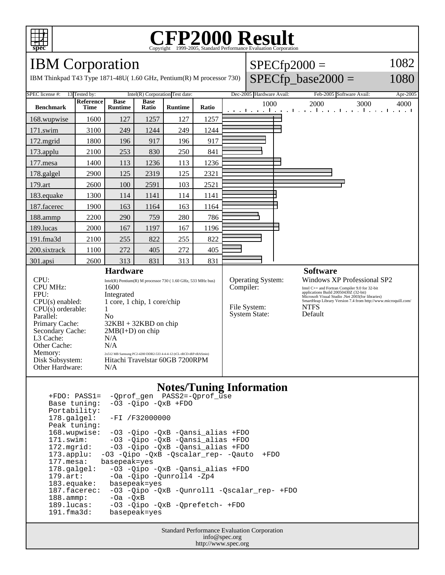

## Copyright ©1999-2005, Standard Performance Evaluation Corporation

IBM Corporation

L3 Cache:  $N/A$ <br>Other Cache:  $N/A$ 

Other Hardware: N/A

Memory: 2x512 MB Samsung PC2-4200 DDR2-533 4-4-4-12 (tCL-tRCD-tRP-tRASmin) Disk Subsystem: Hitachi Travelstar 60GB 7200RPM

Other Cache:

IBM Thinkpad T43 Type 1871-48U( 1.60 GHz, Pentium(R) M pr

SPEC license  $\#$ : 13 Tested by: Intel(R) Corporation Test date:

|  |  | $SPECfp2000 =$<br>rocessor 730) $\left $ SPECfp_base2000 = | 1082<br>1080 |                          |          |
|--|--|------------------------------------------------------------|--------------|--------------------------|----------|
|  |  | Dec-2005 Hardware Avail:                                   |              | Feb-2005 Software Avail: | Apr-2005 |
|  |  | 1000                                                       | 2000         | 3000                     | 4000     |

| <b>Benchmark</b>                                                                                                                                                                                                                                                                                                                           | <b>Reference</b><br><b>Time</b> | <b>Base</b><br><b>Runtime</b> | <b>Base</b><br>Ratio | <b>Runtime</b> | Ratio                                                                                                                                                                                                                                                                                                                                                                    | 1000<br>2000<br>3000<br>4000<br>an antara da na karana ha na hamar karana ha na h |
|--------------------------------------------------------------------------------------------------------------------------------------------------------------------------------------------------------------------------------------------------------------------------------------------------------------------------------------------|---------------------------------|-------------------------------|----------------------|----------------|--------------------------------------------------------------------------------------------------------------------------------------------------------------------------------------------------------------------------------------------------------------------------------------------------------------------------------------------------------------------------|-----------------------------------------------------------------------------------|
| 168.wupwise                                                                                                                                                                                                                                                                                                                                | 1600                            | 127                           | 1257                 | 127            | 1257                                                                                                                                                                                                                                                                                                                                                                     |                                                                                   |
| $171$ .swim                                                                                                                                                                                                                                                                                                                                | 3100                            | 249                           | 1244                 | 249            | 1244                                                                                                                                                                                                                                                                                                                                                                     |                                                                                   |
| $172$ . mgrid                                                                                                                                                                                                                                                                                                                              | 1800                            | 196                           | 917                  | 196            | 917                                                                                                                                                                                                                                                                                                                                                                      |                                                                                   |
| 173.applu                                                                                                                                                                                                                                                                                                                                  | 2100                            | 253                           | 830                  | 250            | 841                                                                                                                                                                                                                                                                                                                                                                      |                                                                                   |
| $177$ .mesa                                                                                                                                                                                                                                                                                                                                | 1400                            | 113                           | 1236                 | 113            | 1236                                                                                                                                                                                                                                                                                                                                                                     |                                                                                   |
| 178.galgel                                                                                                                                                                                                                                                                                                                                 | 2900                            | 125                           | 2319                 | 125            | 2321                                                                                                                                                                                                                                                                                                                                                                     |                                                                                   |
| 179.art                                                                                                                                                                                                                                                                                                                                    | 2600                            | 100                           | 2591                 | 103            | 2521                                                                                                                                                                                                                                                                                                                                                                     |                                                                                   |
| 183.equake                                                                                                                                                                                                                                                                                                                                 | 1300                            | 114                           | 1141                 | 114            | 1141                                                                                                                                                                                                                                                                                                                                                                     |                                                                                   |
| 187.facerec                                                                                                                                                                                                                                                                                                                                | 1900                            | 163                           | 1164                 | 163            | 1164                                                                                                                                                                                                                                                                                                                                                                     |                                                                                   |
| 188.ammp                                                                                                                                                                                                                                                                                                                                   | 2200                            | 290                           | 759                  | 280            | 786                                                                                                                                                                                                                                                                                                                                                                      |                                                                                   |
| 189.lucas                                                                                                                                                                                                                                                                                                                                  | 2000                            | 167                           | 1197                 | 167            | 1196                                                                                                                                                                                                                                                                                                                                                                     |                                                                                   |
| 191.fma3d                                                                                                                                                                                                                                                                                                                                  | 2100                            | 255                           | 822                  | 255            | 822                                                                                                                                                                                                                                                                                                                                                                      |                                                                                   |
| 200.sixtrack                                                                                                                                                                                                                                                                                                                               | 1100                            | 272                           | 405                  | 272            | 405                                                                                                                                                                                                                                                                                                                                                                      |                                                                                   |
| 301.apsi                                                                                                                                                                                                                                                                                                                                   | 2600                            | 313                           | 831                  | 313            | 831                                                                                                                                                                                                                                                                                                                                                                      |                                                                                   |
| <b>Hardware</b><br>CPU:<br>Intel(R) Pentium(R) M processor $730$ (1.60 GHz, 533 MHz bus)<br><b>CPU MHz:</b><br>1600<br>FPU:<br>Integrated<br>$CPU(s)$ enabled:<br>1 core, 1 chip, 1 core/chip<br>$CPU(s)$ orderable:<br>Parallel:<br>N <sub>0</sub><br>Primary Cache:<br>$32KBI + 32KBD$ on chip<br>Secondary Cache:<br>$2MB(I+D)$ on chip |                                 |                               |                      |                | <b>Software</b><br><b>Operating System:</b><br>Windows XP Professional SP2<br>Compiler:<br>Intel C++ and Fortran Compiler 9.0 for 32-bit<br>applications Build 20050430Z (32-bit)<br>Microsoft Visual Studio .Net 2003(for libraries)<br>SmartHeap Library Version 7.4 from http://www.microquill.com/<br>File System:<br><b>NTFS</b><br><b>System State:</b><br>Default |                                                                                   |

#### **Notes/Tuning Information**

 +FDO: PASS1= -Qprof\_gen PASS2=-Qprof\_use  $-03$  -Qipo  $-QxB$  +FDO Portability:<br>178.galgel: -FI /F32000000 Peak tuning: 168.wupwise: -O3 -Qipo -QxB -Qansi\_alias +FDO 171.swim: -O3 -Qipo -QxB -Qansi\_alias +FDO 172.mgrid: -03 -Qipo -QxB -Qansi\_alias +FDO<br>173.applu: -03 -Qipo -QxB -Qscalar\_rep- -Qaute -O3 -Qipo -QxB -Qscalar\_rep- -Qauto +FDO 177.mesa: basepeak=yes 178.galgel: -O3 -Qipo -QxB -Qansi\_alias +FDO 179.art: -Oa -Qipo -Qunroll4 -Zp4 183.equake: basepeak=yes<br>187.facerec: -03 -Qipo -Q 187.facerec: -O3 -Qipo -QxB -Qunroll1 -Qscalar\_rep- +FDO<br>188.ammp: -Oa -QxB -Oa -QxB 189.lucas: -03 -Qipo -QxB -Qprefetch- +FDO<br>191.fma3d: basepeak=yes basepeak=yes

> Standard Performance Evaluation Corporation info@spec.org http://www.spec.org